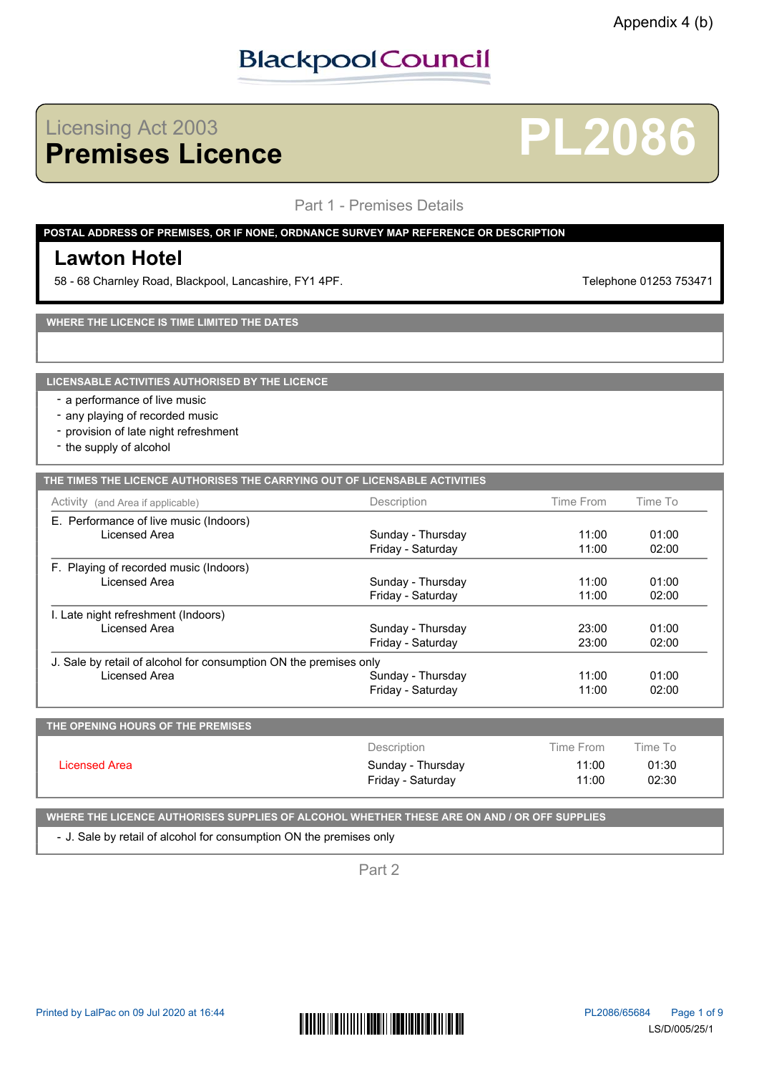## Licensing Act 2003<br>**Premises Licence**

### Part 1 - Premises Details

### **POSTAL ADDRESS OF PREMISES, OR IF NONE, ORDNANCE SURVEY MAP REFERENCE OR DESCRIPTION**

### **Lawton Hotel**

58 - 68 Charnley Road, Blackpool, Lancashire, FY1 4PF. Telephone 01253 753471

**Premises Licence PL2086**

**WHERE THE LICENCE IS TIME LIMITED THE DATES**

**LICENSABLE ACTIVITIES AUTHORISED BY THE LICENCE**

- a performance of live music
- any playing of recorded music
- provision of late night refreshment
- the supply of alcohol

| THE TIMES THE LICENCE AUTHORISES THE CARRYING OUT OF LICENSABLE ACTIVITIES |  |
|----------------------------------------------------------------------------|--|
|                                                                            |  |
|                                                                            |  |

| Activity (and Area if applicable)                                 | Description       | Time From | Time To |  |
|-------------------------------------------------------------------|-------------------|-----------|---------|--|
| E. Performance of live music (Indoors)                            |                   |           |         |  |
| Licensed Area                                                     | Sunday - Thursday | 11:00     | 01:00   |  |
|                                                                   | Friday - Saturday | 11:00     | 02:00   |  |
| F. Playing of recorded music (Indoors)                            |                   |           |         |  |
| Licensed Area                                                     | Sunday - Thursday | 11:00     | 01:00   |  |
|                                                                   | Friday - Saturday | 11:00     | 02:00   |  |
| I. Late night refreshment (Indoors)                               |                   |           |         |  |
| Licensed Area                                                     | Sunday - Thursday | 23:00     | 01:00   |  |
|                                                                   | Friday - Saturday | 23:00     | 02:00   |  |
| J. Sale by retail of alcohol for consumption ON the premises only |                   |           |         |  |
| Licensed Area                                                     | Sunday - Thursday | 11:00     | 01:00   |  |
|                                                                   | Friday - Saturday | 11:00     | 02:00   |  |

| THE OPENING HOURS OF THE PREMISES |                   |           |         |  |
|-----------------------------------|-------------------|-----------|---------|--|
| Licensed Area                     | Description       | Time From | Time To |  |
|                                   | Sunday - Thursday | 11:00     | 01:30   |  |
|                                   | Friday - Saturday | 11:00     | 02:30   |  |
|                                   |                   |           |         |  |

**WHERE THE LICENCE AUTHORISES SUPPLIES OF ALCOHOL WHETHER THESE ARE ON AND / OR OFF SUPPLIES**

- J. Sale by retail of alcohol for consumption ON the premises only

Part 2

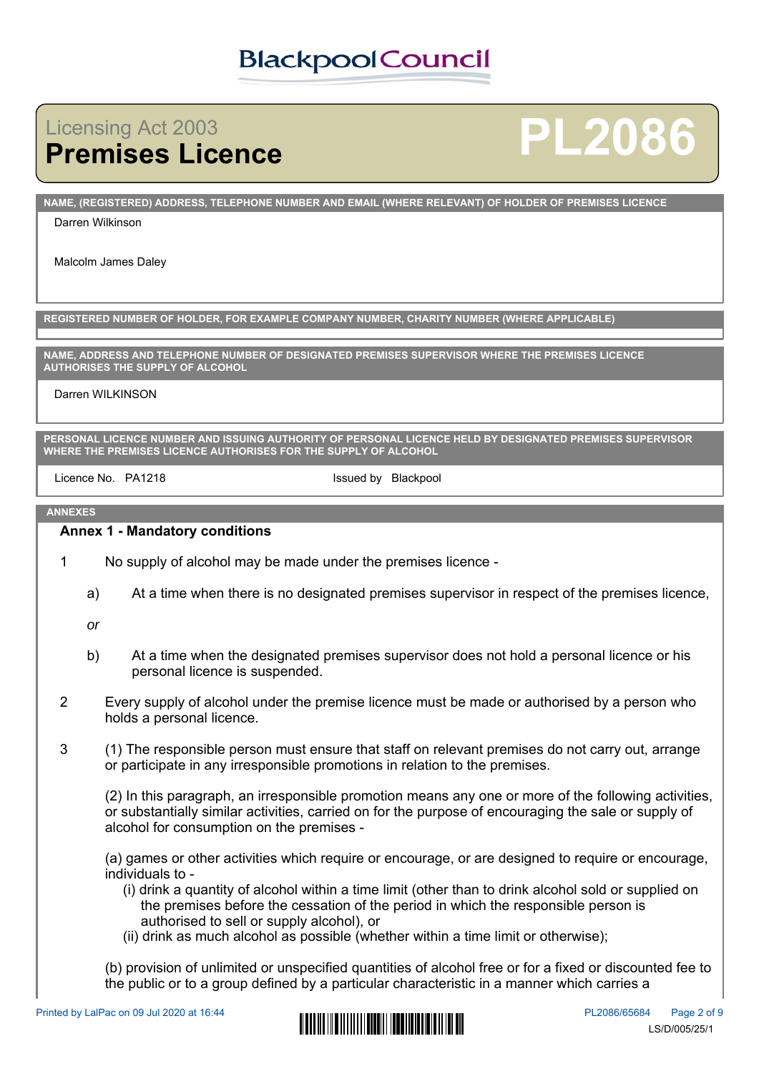# **Licensing Act 2003<br>Premises Licence**

# **Premises Licence PL2086**

**NAME, (REGISTERED) ADDRESS, TELEPHONE NUMBER AND EMAIL (WHERE RELEVANT) OF HOLDER OF PREMISES LICENCE**

#### Darren Wilkinson

Malcolm James Daley

**REGISTERED NUMBER OF HOLDER, FOR EXAMPLE COMPANY NUMBER, CHARITY NUMBER (WHERE APPLICABLE)**

**NAME, ADDRESS AND TELEPHONE NUMBER OF DESIGNATED PREMISES SUPERVISOR WHERE THE PREMISES LICENCE AUTHORISES THE SUPPLY OF ALCOHOL**

#### Darren WILKINSON

**PERSONAL LICENCE NUMBER AND ISSUING AUTHORITY OF PERSONAL LICENCE HELD BY DESIGNATED PREMISES SUPERVISOR WHERE THE PREMISES LICENCE AUTHORISES FOR THE SUPPLY OF ALCOHOL**

Licence No. PA1218 **Example 20** Issued by Blackpool

#### **ANNEXES**

### **Annex 1 - Mandatory conditions**

- 1 No supply of alcohol may be made under the premises licence
	- a) At a time when there is no designated premises supervisor in respect of the premises licence,

*or*

- b) At a time when the designated premises supervisor does not hold a personal licence or his personal licence is suspended.
- 2 Every supply of alcohol under the premise licence must be made or authorised by a person who holds a personal licence.
- 3 (1) The responsible person must ensure that staff on relevant premises do not carry out, arrange or participate in any irresponsible promotions in relation to the premises.

(2) In this paragraph, an irresponsible promotion means any one or more of the following activities, or substantially similar activities, carried on for the purpose of encouraging the sale or supply of alcohol for consumption on the premises -

(a) games or other activities which require or encourage, or are designed to require or encourage, individuals to -

- (i) drink a quantity of alcohol within a time limit (other than to drink alcohol sold or supplied on the premises before the cessation of the period in which the responsible person is authorised to sell or supply alcohol), or
- (ii) drink as much alcohol as possible (whether within a time limit or otherwise);

(b) provision of unlimited or unspecified quantities of alcohol free or for a fixed or discounted fee to the public or to a group defined by a particular characteristic in a manner which carries a

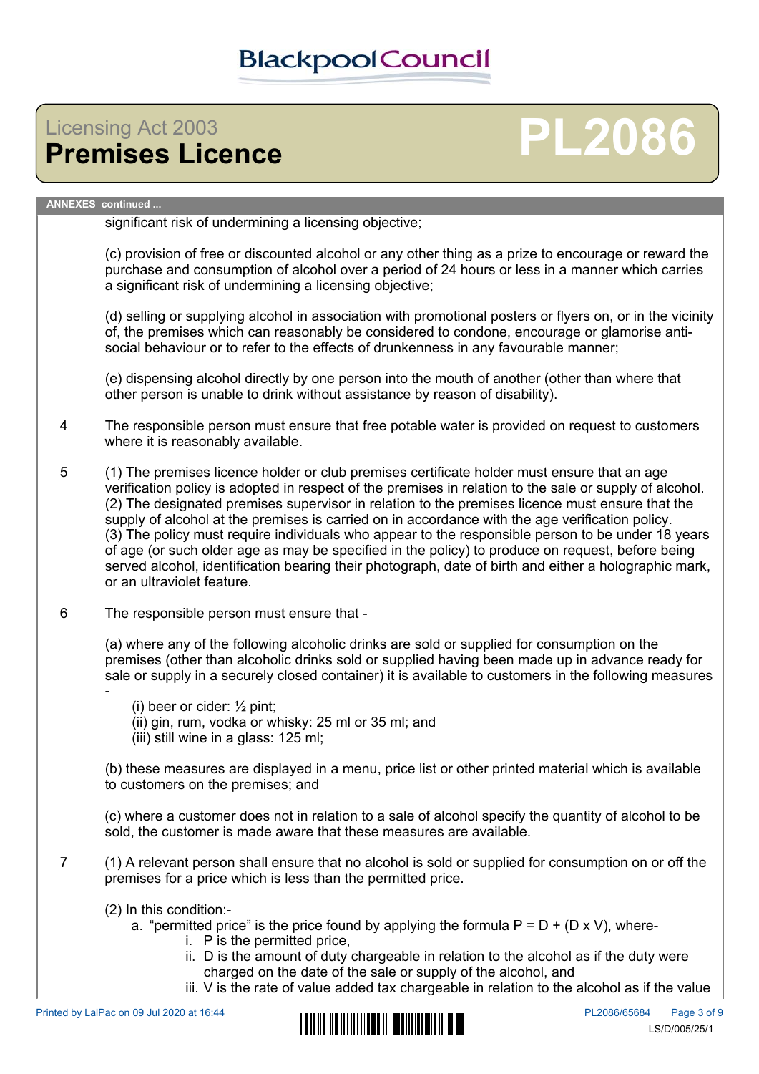# Licensing Act 2003<br>**Premises Licence**

# **Premises Licence PL2086**

#### **ANNEXES continued ...**

significant risk of undermining a licensing objective;

(c) provision of free or discounted alcohol or any other thing as a prize to encourage or reward the purchase and consumption of alcohol over a period of 24 hours or less in a manner which carries a significant risk of undermining a licensing objective;

(d) selling or supplying alcohol in association with promotional posters or flyers on, or in the vicinity of, the premises which can reasonably be considered to condone, encourage or glamorise antisocial behaviour or to refer to the effects of drunkenness in any favourable manner;

(e) dispensing alcohol directly by one person into the mouth of another (other than where that other person is unable to drink without assistance by reason of disability).

- 4 The responsible person must ensure that free potable water is provided on request to customers where it is reasonably available.
- 5 (1) The premises licence holder or club premises certificate holder must ensure that an age verification policy is adopted in respect of the premises in relation to the sale or supply of alcohol. (2) The designated premises supervisor in relation to the premises licence must ensure that the supply of alcohol at the premises is carried on in accordance with the age verification policy. (3) The policy must require individuals who appear to the responsible person to be under 18 years of age (or such older age as may be specified in the policy) to produce on request, before being served alcohol, identification bearing their photograph, date of birth and either a holographic mark, or an ultraviolet feature.
- 6 The responsible person must ensure that -

(a) where any of the following alcoholic drinks are sold or supplied for consumption on the premises (other than alcoholic drinks sold or supplied having been made up in advance ready for sale or supply in a securely closed container) it is available to customers in the following measures

(i) beer or cider: ½ pint; (ii) gin, rum, vodka or whisky: 25 ml or 35 ml; and (iii) still wine in a glass: 125 ml;

(b) these measures are displayed in a menu, price list or other printed material which is available to customers on the premises; and

(c) where a customer does not in relation to a sale of alcohol specify the quantity of alcohol to be sold, the customer is made aware that these measures are available.

- 7 (1) A relevant person shall ensure that no alcohol is sold or supplied for consumption on or off the premises for a price which is less than the permitted price.
	- (2) In this condition:
		- a. "permitted price" is the price found by applying the formula  $P = D + (D \times V)$ , where
			- i. P is the permitted price,
			- ii. D is the amount of duty chargeable in relation to the alcohol as if the duty were charged on the date of the sale or supply of the alcohol, and
			- iii. V is the rate of value added tax chargeable in relation to the alcohol as if the value

-

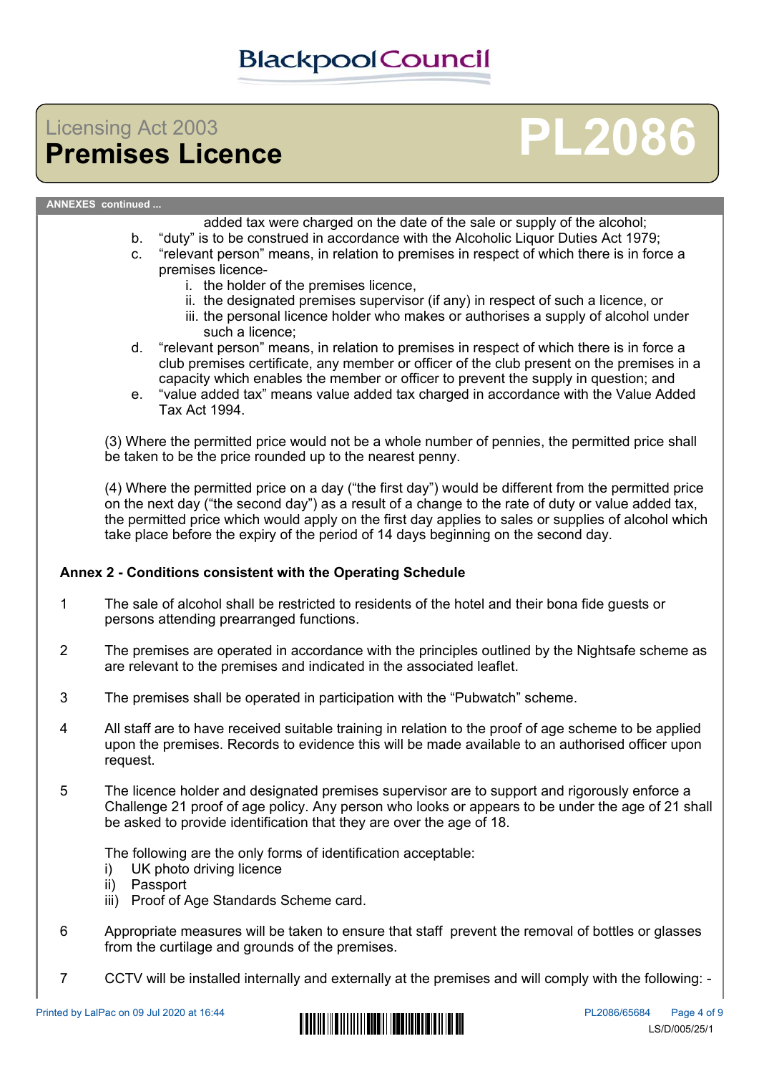## Licensing Act 2003<br>**Premises Licence**

# **Premises Licence PL2086**

#### **ANNEXES continued ...**

added tax were charged on the date of the sale or supply of the alcohol;

- b. "duty" is to be construed in accordance with the Alcoholic Liquor Duties Act 1979;
- c. "relevant person" means, in relation to premises in respect of which there is in force a premises licence
	- i. the holder of the premises licence,
	- ii. the designated premises supervisor (if any) in respect of such a licence, or
	- iii. the personal licence holder who makes or authorises a supply of alcohol under such a licence;
- d. "relevant person" means, in relation to premises in respect of which there is in force a club premises certificate, any member or officer of the club present on the premises in a capacity which enables the member or officer to prevent the supply in question; and
- e. "value added tax" means value added tax charged in accordance with the Value Added Tax Act 1994.

(3) Where the permitted price would not be a whole number of pennies, the permitted price shall be taken to be the price rounded up to the nearest penny.

(4) Where the permitted price on a day ("the first day") would be different from the permitted price on the next day ("the second day") as a result of a change to the rate of duty or value added tax, the permitted price which would apply on the first day applies to sales or supplies of alcohol which take place before the expiry of the period of 14 days beginning on the second day.

### **Annex 2 - Conditions consistent with the Operating Schedule**

- 1 The sale of alcohol shall be restricted to residents of the hotel and their bona fide guests or persons attending prearranged functions.
- 2 The premises are operated in accordance with the principles outlined by the Nightsafe scheme as are relevant to the premises and indicated in the associated leaflet.
- 3 The premises shall be operated in participation with the "Pubwatch" scheme.
- 4 All staff are to have received suitable training in relation to the proof of age scheme to be applied upon the premises. Records to evidence this will be made available to an authorised officer upon request.
- 5 The licence holder and designated premises supervisor are to support and rigorously enforce a Challenge 21 proof of age policy. Any person who looks or appears to be under the age of 21 shall be asked to provide identification that they are over the age of 18.

The following are the only forms of identification acceptable:

- i) UK photo driving licence
- ii) Passport
- iii) Proof of Age Standards Scheme card.
- 6 Appropriate measures will be taken to ensure that staff prevent the removal of bottles or glasses from the curtilage and grounds of the premises.
- 7 CCTV will be installed internally and externally at the premises and will comply with the following: -

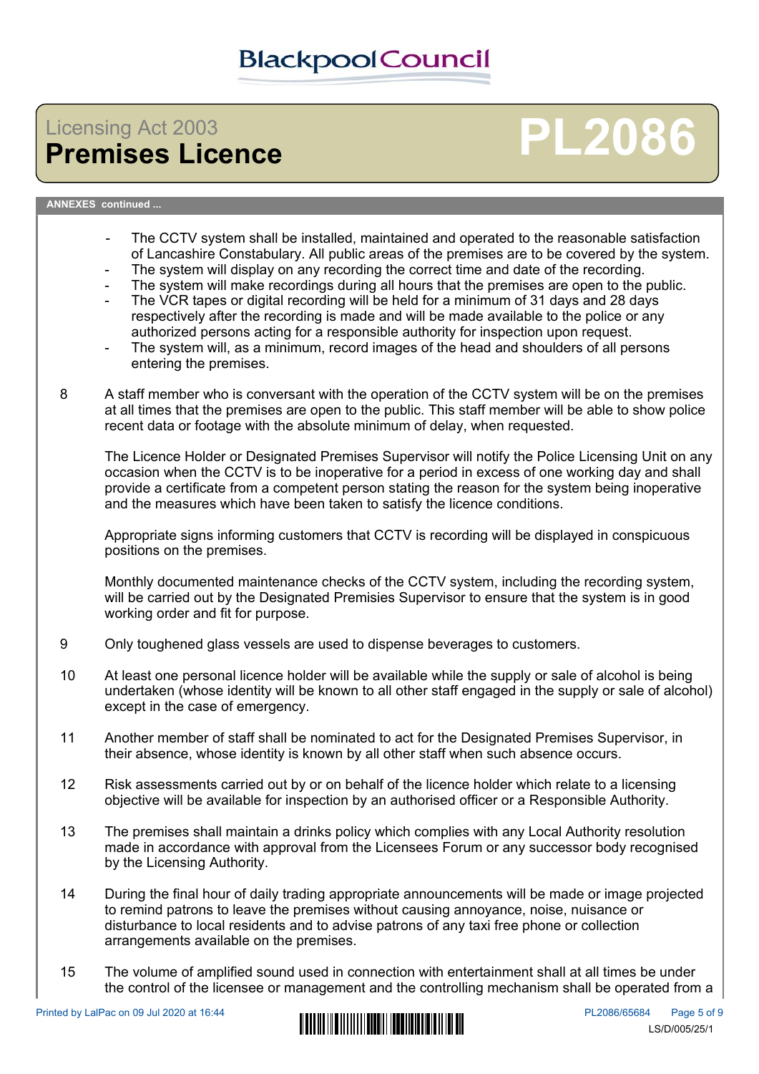# Licensing Act 2003<br>**Premises Licence**

# **Premises Licence PL2086**

### **ANNEXES continued ...**

- The CCTV system shall be installed, maintained and operated to the reasonable satisfaction of Lancashire Constabulary. All public areas of the premises are to be covered by the system.
- The system will display on any recording the correct time and date of the recording.
- The system will make recordings during all hours that the premises are open to the public.
- The VCR tapes or digital recording will be held for a minimum of 31 days and 28 days respectively after the recording is made and will be made available to the police or any authorized persons acting for a responsible authority for inspection upon request.
- The system will, as a minimum, record images of the head and shoulders of all persons entering the premises.
- 8 A staff member who is conversant with the operation of the CCTV system will be on the premises at all times that the premises are open to the public. This staff member will be able to show police recent data or footage with the absolute minimum of delay, when requested.

The Licence Holder or Designated Premises Supervisor will notify the Police Licensing Unit on any occasion when the CCTV is to be inoperative for a period in excess of one working day and shall provide a certificate from a competent person stating the reason for the system being inoperative and the measures which have been taken to satisfy the licence conditions.

Appropriate signs informing customers that CCTV is recording will be displayed in conspicuous positions on the premises.

Monthly documented maintenance checks of the CCTV system, including the recording system, will be carried out by the Designated Premisies Supervisor to ensure that the system is in good working order and fit for purpose.

- 9 Only toughened glass vessels are used to dispense beverages to customers.
- 10 At least one personal licence holder will be available while the supply or sale of alcohol is being undertaken (whose identity will be known to all other staff engaged in the supply or sale of alcohol) except in the case of emergency.
- 11 Another member of staff shall be nominated to act for the Designated Premises Supervisor, in their absence, whose identity is known by all other staff when such absence occurs.
- 12 Risk assessments carried out by or on behalf of the licence holder which relate to a licensing objective will be available for inspection by an authorised officer or a Responsible Authority.
- 13 The premises shall maintain a drinks policy which complies with any Local Authority resolution made in accordance with approval from the Licensees Forum or any successor body recognised by the Licensing Authority.
- 14 During the final hour of daily trading appropriate announcements will be made or image projected to remind patrons to leave the premises without causing annoyance, noise, nuisance or disturbance to local residents and to advise patrons of any taxi free phone or collection arrangements available on the premises.
- 15 The volume of amplified sound used in connection with entertainment shall at all times be under the control of the licensee or management and the controlling mechanism shall be operated from a

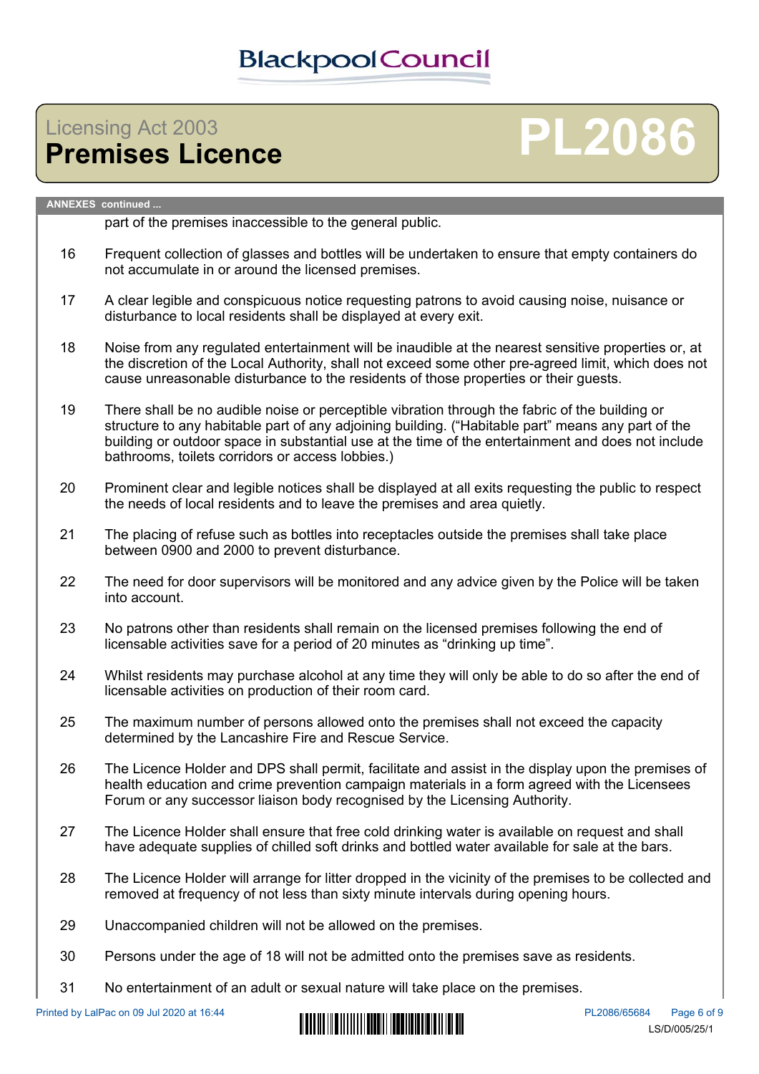## Licensing Act 2003<br>**Premises Licence**

# **Premises Licence PL2086**

### **ANNEXES continued ...**

part of the premises inaccessible to the general public.

- 16 Frequent collection of glasses and bottles will be undertaken to ensure that empty containers do not accumulate in or around the licensed premises.
- 17 A clear legible and conspicuous notice requesting patrons to avoid causing noise, nuisance or disturbance to local residents shall be displayed at every exit.
- 18 Noise from any regulated entertainment will be inaudible at the nearest sensitive properties or, at the discretion of the Local Authority, shall not exceed some other pre-agreed limit, which does not cause unreasonable disturbance to the residents of those properties or their guests.
- 19 There shall be no audible noise or perceptible vibration through the fabric of the building or structure to any habitable part of any adjoining building. ("Habitable part" means any part of the building or outdoor space in substantial use at the time of the entertainment and does not include bathrooms, toilets corridors or access lobbies.)
- 20 Prominent clear and legible notices shall be displayed at all exits requesting the public to respect the needs of local residents and to leave the premises and area quietly.
- 21 The placing of refuse such as bottles into receptacles outside the premises shall take place between 0900 and 2000 to prevent disturbance.
- 22 The need for door supervisors will be monitored and any advice given by the Police will be taken into account.
- 23 No patrons other than residents shall remain on the licensed premises following the end of licensable activities save for a period of 20 minutes as "drinking up time".
- 24 Whilst residents may purchase alcohol at any time they will only be able to do so after the end of licensable activities on production of their room card.
- 25 The maximum number of persons allowed onto the premises shall not exceed the capacity determined by the Lancashire Fire and Rescue Service.
- 26 The Licence Holder and DPS shall permit, facilitate and assist in the display upon the premises of health education and crime prevention campaign materials in a form agreed with the Licensees Forum or any successor liaison body recognised by the Licensing Authority.
- 27 The Licence Holder shall ensure that free cold drinking water is available on request and shall have adequate supplies of chilled soft drinks and bottled water available for sale at the bars.
- 28 The Licence Holder will arrange for litter dropped in the vicinity of the premises to be collected and removed at frequency of not less than sixty minute intervals during opening hours.
- 29 Unaccompanied children will not be allowed on the premises.
- 30 Persons under the age of 18 will not be admitted onto the premises save as residents.
- 31 No entertainment of an adult or sexual nature will take place on the premises.

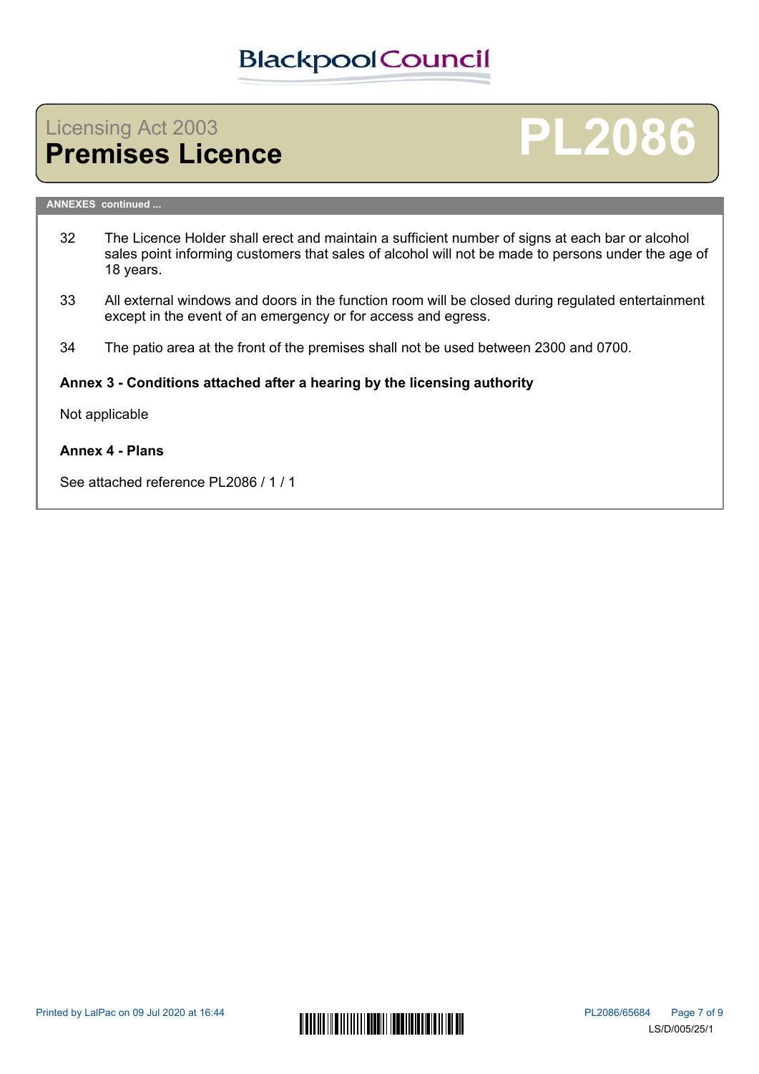## Licensing Act 2003<br>**Premises Licence**

# **Premises Licence PL2086**

#### **ANNEXES continued ...**

- 32 The Licence Holder shall erect and maintain a sufficient number of signs at each bar or alcohol sales point informing customers that sales of alcohol will not be made to persons under the age of 18 years.
- 33 All external windows and doors in the function room will be closed during regulated entertainment except in the event of an emergency or for access and egress.
- 34 The patio area at the front of the premises shall not be used between 2300 and 0700.

### **Annex 3 - Conditions attached after a hearing by the licensing authority**

Not applicable

### **Annex 4 - Plans**

See attached reference PL2086 / 1 / 1